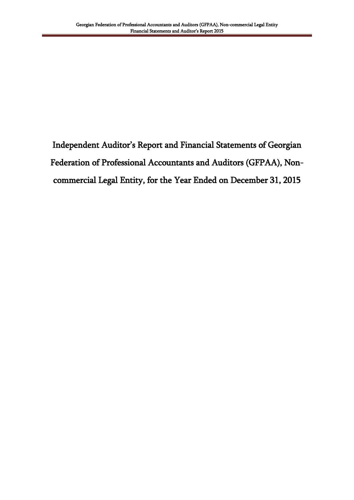Independent Auditor's Report and Financial Statements of Georgian Federation of Professional Accountants and Auditors (GFPAA), Noncommercial Legal Entity, for the Year Ended on December 31, 2015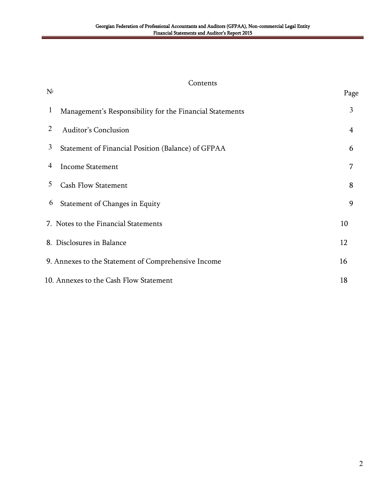#### Contents

| $\mathbf{1}$ | Management's Responsibility for the Financial Statements | 3              |
|--------------|----------------------------------------------------------|----------------|
| 2            | <b>Auditor's Conclusion</b>                              | $\overline{4}$ |
| 3            | Statement of Financial Position (Balance) of GFPAA       | 6              |
| 4            | <b>Income Statement</b>                                  | 7              |
| 5            | <b>Cash Flow Statement</b>                               | 8              |
| 6            | Statement of Changes in Equity                           | 9              |
|              | 7. Notes to the Financial Statements                     | 10             |
|              | 8. Disclosures in Balance                                | 12             |
|              | 9. Annexes to the Statement of Comprehensive Income      | 16             |
|              | 10. Annexes to the Cash Flow Statement                   | 18             |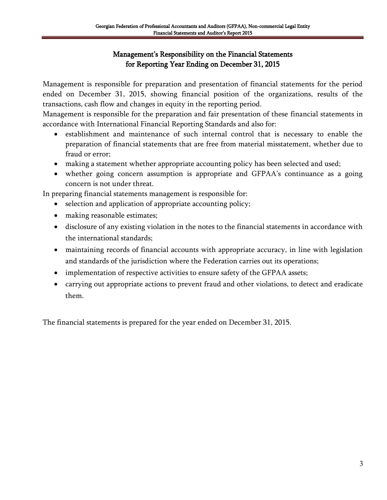# Management's Responsibility on the Financial Statements for Reporting Year Ending on December 31, 2015

Management is responsible for preparation and presentation of financial statements for the period ended on December 31, 2015, showing financial position of the organizations, results of the transactions, cash flow and changes in equity in the reporting period.

Management is responsible for the preparation and fair presentation of these financial statements in accordance with International Financial Reporting Standards and also for:

- establishment and maintenance of such internal control that is necessary to enable the preparation of financial statements that are free from material misstatement, whether due to fraud or error;
- making a statement whether appropriate accounting policy has been selected and used;
- whether going concern assumption is appropriate and GFPAA"s continuance as a going concern is not under threat.

In preparing financial statements management is responsible for:

- selection and application of appropriate accounting policy;
- making reasonable estimates;
- disclosure of any existing violation in the notes to the financial statements in accordance with the international standards;
- maintaining records of financial accounts with appropriate accuracy, in line with legislation and standards of the jurisdiction where the Federation carries out its operations;
- implementation of respective activities to ensure safety of the GFPAA assets;
- carrying out appropriate actions to prevent fraud and other violations, to detect and eradicate them.

The financial statements is prepared for the year ended on December 31, 2015.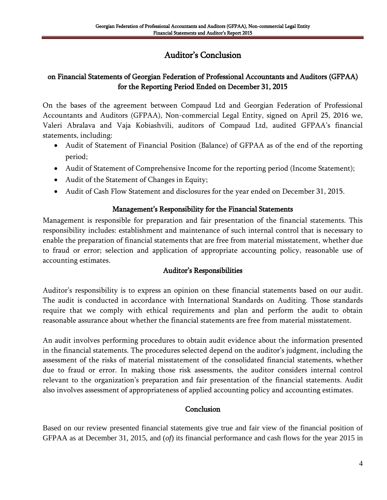# Auditor"s Conclusion

# on Financial Statements of Georgian Federation of Professional Accountants and Auditors (GFPAA) for the Reporting Period Ended on December 31, 2015

On the bases of the agreement between Compaud Ltd and Georgian Federation of Professional Accountants and Auditors (GFPAA), Non-commercial Legal Entity, signed on April 25, 2016 we, Valeri Abralava and Vaja Kobiashvili, auditors of Compaud Ltd, audited GFPAA"s financial statements, including:

- Audit of Statement of Financial Position (Balance) of GFPAA as of the end of the reporting period;
- Audit of Statement of Comprehensive Income for the reporting period (Income Statement);
- Audit of the Statement of Changes in Equity;
- Audit of Cash Flow Statement and disclosures for the year ended on December 31, 2015.

### Management"s Responsibility for the Financial Statements

Management is responsible for preparation and fair presentation of the financial statements. This responsibility includes: establishment and maintenance of such internal control that is necessary to enable the preparation of financial statements that are free from material misstatement, whether due to fraud or error; selection and application of appropriate accounting policy, reasonable use of accounting estimates.

### Auditor"s Responsibilities

Auditor"s responsibility is to express an opinion on these financial statements based on our audit. The audit is conducted in accordance with International Standards on Auditing. Those standards require that we comply with ethical requirements and plan and perform the audit to obtain reasonable assurance about whether the financial statements are free from material misstatement.

An audit involves performing procedures to obtain audit evidence about the information presented in the financial statements. The procedures selected depend on the auditor"s judgment, including the assessment of the risks of material misstatement of the consolidated financial statements, whether due to fraud or error. In making those risk assessments, the auditor considers internal control relevant to the organization"s preparation and fair presentation of the financial statements. Audit also involves assessment of appropriateness of applied accounting policy and accounting estimates.

#### **Conclusion**

Based on our review presented financial statements give true and fair view of the financial position of GFPAA as at December 31, 2015, and (*of*) its financial performance and cash flows for the year 2015 in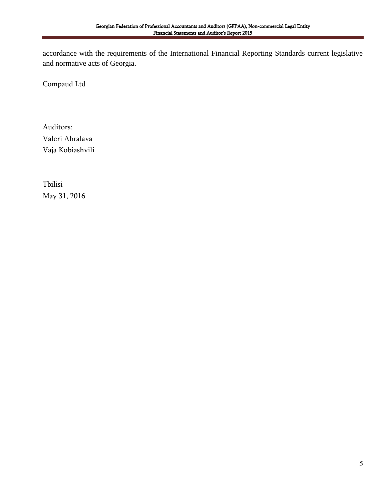accordance with the requirements of the International Financial Reporting Standards current legislative and normative acts of Georgia.

Compaud Ltd

Auditors: Valeri Abralava Vaja Kobiashvili

Tbilisi May 31, 2016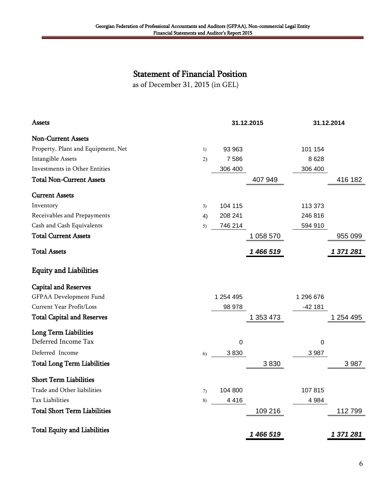# Statement of Financial Position

as of December 31, 2015 (in GEL)

| Assets                              |                  |           | 31.12.2015 |           | 31.12.2014 |
|-------------------------------------|------------------|-----------|------------|-----------|------------|
| <b>Non-Current Assets</b>           |                  |           |            |           |            |
| Property, Plant and Equipment, Net  | $\left( \right)$ | 93 963    |            | 101 154   |            |
| Intangible Assets                   | 2)               | 7586      |            | 8628      |            |
| Investments in Other Entities       |                  | 306 400   |            | 306 400   |            |
| <b>Total Non-Current Assets</b>     |                  |           | 407 949    |           | 416 182    |
| <b>Current Assets</b>               |                  |           |            |           |            |
| Inventory                           | 3)               | 104 115   |            | 113 373   |            |
| Receivables and Prepayments         | 4)               | 208 241   |            | 246 816   |            |
| Cash and Cash Equivalents           | 5)               | 746 214   |            | 594 910   |            |
| <b>Total Current Assets</b>         |                  |           | 1 058 570  |           | 955 099    |
| <b>Total Assets</b>                 |                  |           | 1 466 519  |           | 1 371 281  |
| <b>Equity and Liabilities</b>       |                  |           |            |           |            |
| <b>Capital and Reserves</b>         |                  |           |            |           |            |
| GFPAA Development Fund              |                  | 1 254 495 |            | 1 296 676 |            |
| Current Year Profit/Loss            |                  | 98 978    |            | $-42181$  |            |
| <b>Total Capital and Reserves</b>   |                  |           | 1 353 473  |           | 1 254 495  |
| <b>Long Term Liabilities</b>        |                  |           |            |           |            |
| Deferred Income Tax                 |                  | 0         |            | 0         |            |
| Deferred Income                     | 6)               | 3830      |            | 3 9 8 7   |            |
| <b>Total Long Term Liabilities</b>  |                  |           | 3830       |           | 3 9 8 7    |
| <b>Short Term Liabilities</b>       |                  |           |            |           |            |
| Trade and Other liabilities         | 7)               | 104 800   |            | 107815    |            |
| <b>Tax Liabilities</b>              | 8)               | 4416      |            | 4 9 8 4   |            |
| <b>Total Short Term Liabilities</b> |                  |           | 109 216    |           | 112799     |
| <b>Total Equity and Liabilities</b> |                  |           | 1 466 519  |           | 1 371 281  |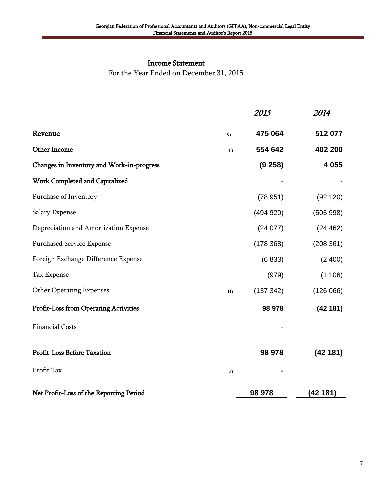#### Income Statement

For the Year Ended on December 31, 2015

|                                              |     | 2015      | 2014      |
|----------------------------------------------|-----|-----------|-----------|
| Revenue                                      | 9)  | 475 064   | 512 077   |
| Other Income                                 | 10) | 554 642   | 402 200   |
| Changes in Inventory and Work-in-progress    |     | (9258)    | 4 0 5 5   |
| Work Completed and Capitalized               |     |           |           |
| Purchase of Inventory                        |     | (78951)   | (92 120)  |
| Salary Expense                               |     | (494920)  | (505998)  |
| Depreciation and Amortization Expense        |     | (24077)   | (24 462)  |
| <b>Purchased Service Expense</b>             |     | (178368)  | (208 361) |
| Foreign Exchange Difference Expense          |     | (6833)    | (2400)    |
| Tax Expense                                  |     | (979)     | (1106)    |
| <b>Other Operating Expenses</b>              | 11) | (137 342) | (126066)  |
| <b>Profit-Loss from Operating Activities</b> |     | 98 978    | (42181)   |
| <b>Financial Costs</b>                       |     |           |           |
| <b>Profit-Loss Before Taxation</b>           |     | 98 978    | (42181)   |
| Profit Tax                                   | 12) |           |           |
| Net Profit-Loss of the Reporting Period      |     | 98 978    | (42181)   |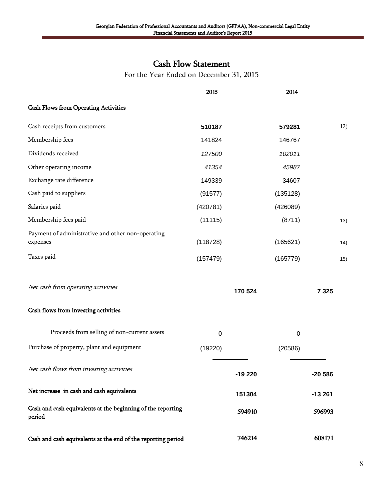# Cash Flow Statement

For the Year Ended on December 31, 2015

|                                                                       | 2015      |          | 2014             |          |     |
|-----------------------------------------------------------------------|-----------|----------|------------------|----------|-----|
| <b>Cash Flows from Operating Activities</b>                           |           |          |                  |          |     |
| Cash receipts from customers                                          | 510187    |          | 579281           |          | 12) |
| Membership fees                                                       | 141824    |          | 146767           |          |     |
| Dividends received                                                    | 127500    |          | 102011           |          |     |
| Other operating income                                                | 41354     |          | 45987            |          |     |
| Exchange rate difference                                              | 149339    |          | 34607            |          |     |
| Cash paid to suppliers                                                | (91577)   |          | (135128)         |          |     |
| Salaries paid                                                         | (420781)  |          | (426089)         |          |     |
| Membership fees paid                                                  | (11115)   |          | (8711)           |          | 13) |
| Payment of administrative and other non-operating<br>expenses         | (118728)  |          | (165621)         |          | 14) |
| Taxes paid                                                            | (157479)  |          | (165779)         |          | 15) |
| Net cash from operating activities                                    |           | 170 524  |                  | 7 3 2 5  |     |
| Cash flows from investing activities                                  |           |          |                  |          |     |
| Proceeds from selling of non-current assets                           | $\pmb{0}$ |          | $\boldsymbol{0}$ |          |     |
| Purchase of property, plant and equipment                             | (19220)   |          | (20586)          |          |     |
| Net cash flows from investing activities                              |           | $-19220$ |                  | $-20586$ |     |
| Net increase in cash and cash equivalents                             |           | 151304   |                  | $-13261$ |     |
| Cash and cash equivalents at the beginning of the reporting<br>period |           | 594910   |                  | 596993   |     |
| Cash and cash equivalents at the end of the reporting period          |           | 746214   |                  | 608171   |     |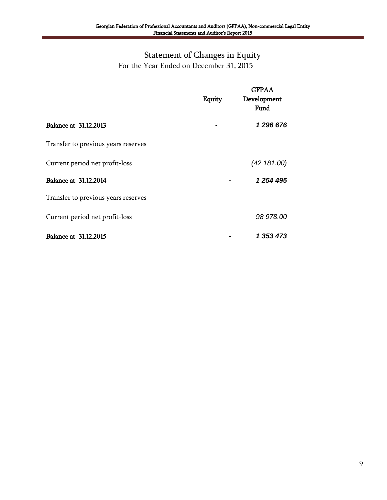# Statement of Changes in Equity For the Year Ended on December 31, 2015

|                                     | Equity | <b>GFPAA</b><br>Development<br>Fund |
|-------------------------------------|--------|-------------------------------------|
| Balance at 31.12.2013               |        | 1 296 676                           |
| Transfer to previous years reserves |        |                                     |
| Current period net profit-loss      |        | (42 181.00)                         |
| Balance at 31.12.2014               |        | 1 254 495                           |
| Transfer to previous years reserves |        |                                     |
| Current period net profit-loss      |        | 98 978.00                           |
| <b>Balance at 31.12.2015</b>        |        | 1 353 473                           |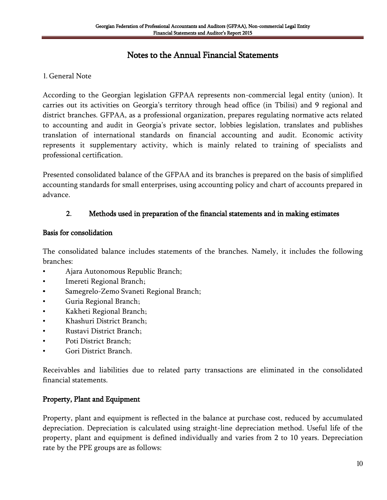# Notes to the Annual Financial Statements

#### 1. General Note

According to the Georgian legislation GFPAA represents non-commercial legal entity (union). It carries out its activities on Georgia"s territory through head office (in Tbilisi) and 9 regional and district branches. GFPAA, as a professional organization, prepares regulating normative acts related to accounting and audit in Georgia"s private sector, lobbies legislation, translates and publishes translation of international standards on financial accounting and audit. Economic activity represents it supplementary activity, which is mainly related to training of specialists and professional certification.

Presented consolidated balance of the GFPAA and its branches is prepared on the basis of simplified accounting standards for small enterprises, using accounting policy and chart of accounts prepared in advance.

#### **2.** Methods used in preparation of the financial statements and in making estimates

#### Basis for consolidation

The consolidated balance includes statements of the branches. Namely, it includes the following branches:

- Ajara Autonomous Republic Branch;
- Imereti Regional Branch;
- **•** Samegrelo-Zemo Svaneti Regional Branch;
- Guria Regional Branch;
- Kakheti Regional Branch;
- Khashuri District Branch;
- Rustavi District Branch;
- Poti District Branch;
- Gori District Branch.

Receivables and liabilities due to related party transactions are eliminated in the consolidated financial statements.

### Property, Plant and Equipment

Property, plant and equipment is reflected in the balance at purchase cost, reduced by accumulated depreciation. Depreciation is calculated using straight-line depreciation method. Useful life of the property, plant and equipment is defined individually and varies from 2 to 10 years. Depreciation rate by the PPE groups are as follows: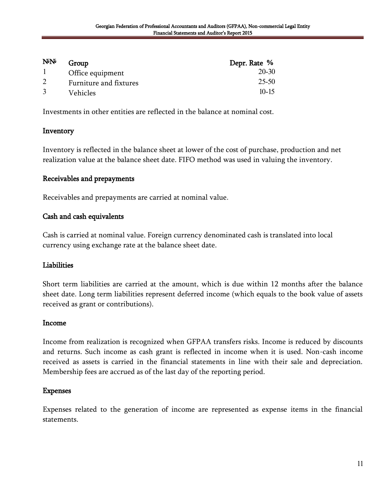| <b>N</b> <sup></sup> | Group                  | Depr. Rate % |
|----------------------|------------------------|--------------|
|                      | Office equipment       | 20-30        |
|                      | Furniture and fixtures | 25-50        |
|                      | Vehicles               | $10 - 15$    |

Investments in other entities are reflected in the balance at nominal cost.

#### Inventory

Inventory is reflected in the balance sheet at lower of the cost of purchase, production and net realization value at the balance sheet date. FIFO method was used in valuing the inventory.

#### Receivables and prepayments

Receivables and prepayments are carried at nominal value.

#### Cash and cash equivalents

Cash is carried at nominal value. Foreign currency denominated cash is translated into local currency using exchange rate at the balance sheet date.

#### **Liabilities**

Short term liabilities are carried at the amount, which is due within 12 months after the balance sheet date. Long term liabilities represent deferred income (which equals to the book value of assets received as grant or contributions).

#### Income

Income from realization is recognized when GFPAA transfers risks. Income is reduced by discounts and returns. Such income as cash grant is reflected in income when it is used. Non-cash income received as assets is carried in the financial statements in line with their sale and depreciation. Membership fees are accrued as of the last day of the reporting period.

#### Expenses

Expenses related to the generation of income are represented as expense items in the financial statements.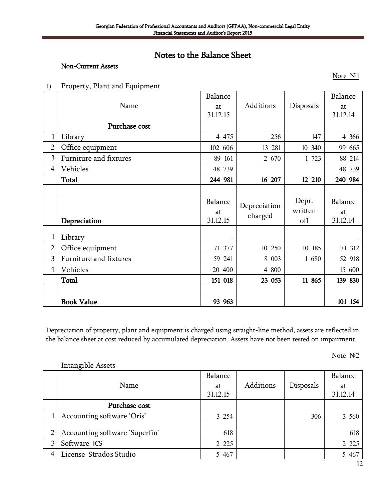# Notes to the Balance Sheet

#### Non-Current Assets

1) Property, Plant and Equipment

|                |                        | Balance  |              |           | Balance  |
|----------------|------------------------|----------|--------------|-----------|----------|
|                | Name                   | at       | Additions    | Disposals | at       |
|                |                        | 31.12.15 |              |           | 31.12.14 |
|                | Purchase cost          |          |              |           |          |
| 1              | Library                | 4 4 7 5  | 256          | 147       | 4 3 6 6  |
| $\overline{2}$ | Office equipment       | 102 606  | 13 281       | 10 340    | 99 665   |
| 3              | Furniture and fixtures | 89 161   | 2 670        | 1 723     | 88 214   |
| $\overline{4}$ | Vehicles               | 48 739   |              |           | 48 739   |
|                | Total                  | 244 981  | 16 207       | 12 210    | 240 984  |
|                |                        |          |              |           |          |
|                |                        |          |              |           |          |
|                |                        | Balance  |              | Depr.     | Balance  |
|                |                        | at       | Depreciation | written   | at       |
|                | Depreciation           | 31.12.15 | charged      | off       | 31.12.14 |
|                |                        |          |              |           |          |
| $\mathbf{1}$   | Library                |          |              |           |          |
| $\overline{2}$ | Office equipment       | 71 377   | 10 250       | 10 185    | 71 312   |
| 3              | Furniture and fixtures | 59 241   | 8 003        | 1 680     | 52 918   |
| $\overline{4}$ | Vehicles               | 20 400   | 4 800        |           | 15 600   |
|                | Total                  | 151 018  | 23 053       | 11 865    | 139 830  |
|                |                        |          |              |           |          |

Depreciation of property, plant and equipment is charged using straight-line method, assets are reflected in the balance sheet at cost reduced by accumulated depreciation. Assets have not been tested on impairment.

Note  $N<sub>2</sub>$ 

Note  $N<sup>0</sup>1$ 

|   | <b>Intangible Assets</b>       |          |           |           |          |
|---|--------------------------------|----------|-----------|-----------|----------|
|   |                                | Balance  |           |           | Balance  |
|   | Name                           | at       | Additions | Disposals | at       |
|   |                                | 31.12.15 |           |           | 31.12.14 |
|   | Purchase cost                  |          |           |           |          |
|   | Accounting software 'Oris'     | 3 2 5 4  |           | 306       | 3 5 6 0  |
|   |                                |          |           |           |          |
| 2 | Accounting software 'Superfin' | 618      |           |           | 618      |
| 3 | Software ICS                   | 2 2 2 5  |           |           | 2 2 2 5  |
| 4 | License Strados Studio         | 5 4 6 7  |           |           | 5 4 6 7  |
|   |                                |          |           |           | $\sim$   |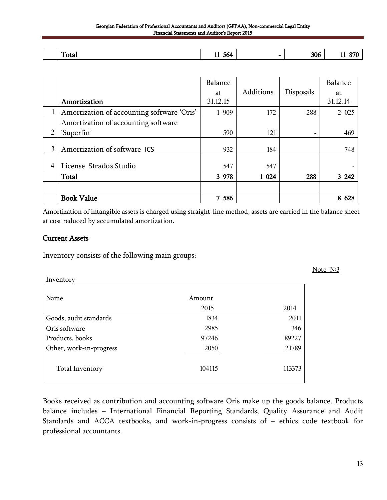Georgian Federation of Professional Accountants and Auditors (GFPAA), Non-commercial Legal Entity Financial Statements and Auditor's Report 2015

| --<br>Total | - -<br>11,064 | $\overline{\phantom{0}}$ | 306 | O70<br>$\mathbf{A}$<br>$\ddot{\phantom{0}}$ |
|-------------|---------------|--------------------------|-----|---------------------------------------------|

|   | Amortization                               | Balance<br>at<br>31.12.15 | Additions | Disposals                | Balance<br>at<br>31.12.14 |
|---|--------------------------------------------|---------------------------|-----------|--------------------------|---------------------------|
| 1 | Amortization of accounting software 'Oris' | 1 909                     | 172       | 288                      | 2 0 2 5                   |
|   | Amortization of accounting software        |                           |           |                          |                           |
| 2 | 'Superfin'                                 | 590                       | 121       | $\overline{\phantom{a}}$ | 469                       |
| 3 | Amortization of software ICS               | 932                       | 184       |                          | 748                       |
| 4 | License Strados Studio                     | 547                       | 547       |                          |                           |
|   | Total                                      | 3 978                     | 1 0 24    | 288                      | 3 2 4 2                   |
|   |                                            |                           |           |                          |                           |
|   | <b>Book Value</b>                          | 7 586                     |           |                          | 8<br>628                  |

Amortization of intangible assets is charged using straight-line method, assets are carried in the balance sheet at cost reduced by accumulated amortization.

#### Current Assets

Inventory consists of the following main groups:

Inventory Name Amount 2015 2014 Goods, audit standards 1834 2011 Oris software 2985 2985 346 Products, books 89227 Other, work-in-progress 2050 21789 Total Inventory 104115 113373

Books received as contribution and accounting software Oris make up the goods balance. Products balance includes – International Financial Reporting Standards, Quality Assurance and Audit Standards and ACCA textbooks, and work-in-progress consists of – ethics code textbook for professional accountants.

Note  $N<sup>5</sup>$ 3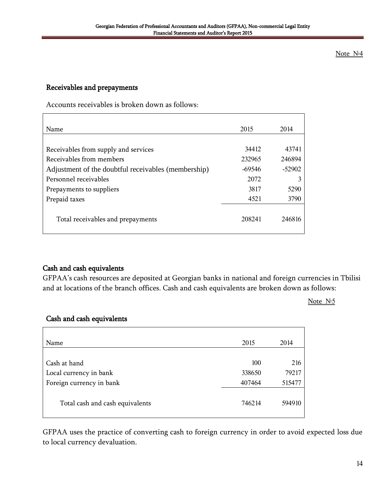#### Note  $N<sup>64</sup>$

#### Receivables and prepayments

Accounts receivables is broken down as follows:

| Name                                                | 2015   | 2014     |
|-----------------------------------------------------|--------|----------|
|                                                     |        |          |
| Receivables from supply and services                | 34412  | 43741    |
| Receivables from members                            | 232965 | 246894   |
| Adjustment of the doubtful receivables (membership) | -69546 | $-52902$ |
| Personnel receivables                               | 2072   |          |
| Prepayments to suppliers                            | 3817   | 5290     |
| Prepaid taxes                                       | 4521   | 3790     |
| Total receivables and prepayments                   | 208241 | 246816   |

#### Cash and cash equivalents

GFPAA"s cash resources are deposited at Georgian banks in national and foreign currencies in Tbilisi and at locations of the branch offices. Cash and cash equivalents are broken down as follows:

#### Note  $N<sub>5</sub>$

#### Cash and cash equivalents

| Name                            | 2015   | 2014   |
|---------------------------------|--------|--------|
| Cash at hand                    | 100    | 216    |
| Local currency in bank          | 338650 | 79217  |
| Foreign currency in bank        | 407464 | 515477 |
| Total cash and cash equivalents | 746214 | 594910 |

GFPAA uses the practice of converting cash to foreign currency in order to avoid expected loss due to local currency devaluation.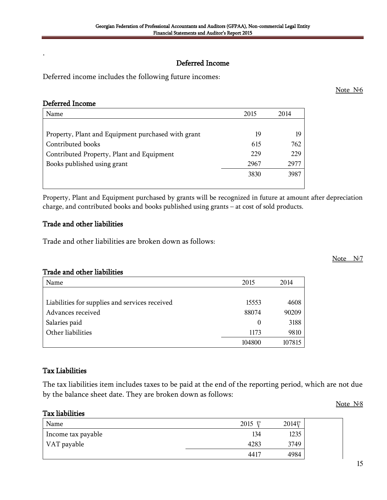Note N<sup>o</sup>8

# Deferred Income

Deferred income includes the following future incomes:

#### Deferred Income

**.**

| Name                                               | 2015 | 2014 |
|----------------------------------------------------|------|------|
|                                                    |      |      |
| Property, Plant and Equipment purchased with grant | 19   |      |
| Contributed books                                  | 615  | 762  |
| Contributed Property, Plant and Equipment          | 229  | 229  |
| Books published using grant                        | 2967 | 2977 |
|                                                    | 3830 | 3987 |
|                                                    |      |      |

Property, Plant and Equipment purchased by grants will be recognized in future at amount after depreciation charge, and contributed books and books published using grants – at cost of sold products.

#### Trade and other liabilities

Trade and other liabilities are broken down as follows:

#### Trade and other liabilities

| Name                                           | 2015     | 2014   |
|------------------------------------------------|----------|--------|
|                                                |          |        |
| Liabilities for supplies and services received | 15553    | 4608   |
| Advances received                              | 88074    | 90209  |
| Salaries paid                                  | $\theta$ | 3188   |
| Other liabilities                              | 1173     | 9810   |
|                                                | 104800   | 107815 |

#### Tax Liabilities

The tax liabilities item includes taxes to be paid at the end of the reporting period, which are not due by the balance sheet date. They are broken down as follows:

#### Tax liabilities

| Name               | 2015<br>ഋ | 2014日 |
|--------------------|-----------|-------|
| Income tax payable | 134       | 1235  |
| VAT payable        | 4283      | 3749  |
|                    | 4417      | 4984  |

Note  $N<sub>6</sub>$ 

#### Note  $N<sup>0</sup>$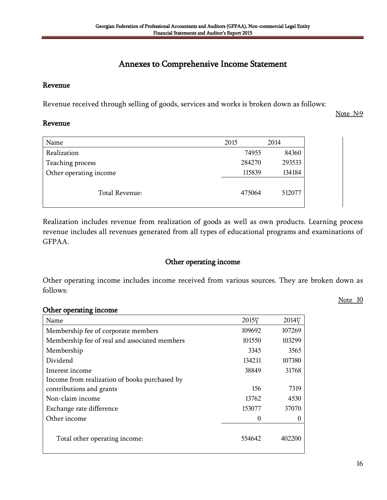# Annexes to Comprehensive Income Statement

#### Revenue

Revenue received through selling of goods, services and works is broken down as follows:

Note  $N<sub>2</sub>9$ 

#### Revenue

| Name                   | 2015   | 2014   |
|------------------------|--------|--------|
| Realization            | 74955  | 84360  |
| Teaching process       | 284270 | 293533 |
| Other operating income | 115839 | 134184 |
| Total Revenue:         | 475064 | 512077 |

Realization includes revenue from realization of goods as well as own products. Learning process revenue includes all revenues generated from all types of educational programs and examinations of GFPAA.

#### Other operating income

Other operating income includes income received from various sources. They are broken down as follows:

Note 10

#### Other operating income

| Name                                          | 2015 <sub>V</sub> | 2014   |
|-----------------------------------------------|-------------------|--------|
| Membership fee of corporate members           | 109692            | 107269 |
| Membership fee of real and associated members | 101550            | 103299 |
| Membership                                    | 3345              | 3565   |
| Dividend                                      | 134211            | 107380 |
| Interest income                               | 38849             | 31768  |
| Income from realization of books purchased by |                   |        |
| contributions and grants                      | 156               | 7319   |
| Non-claim income                              | 13762             | 4530   |
| Exchange rate difference                      | 153077            | 37070  |
| Other income                                  | 0                 | 0      |
| Total other operating income:                 | 554642            | 402200 |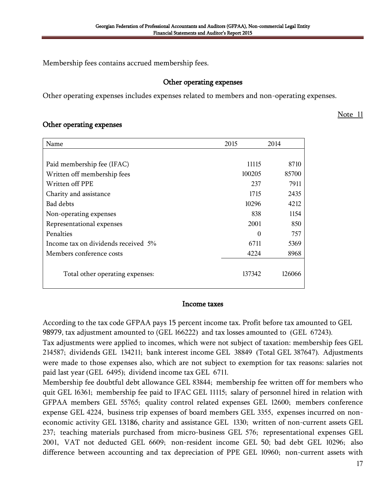Membership fees contains accrued membership fees.

#### Other operating expenses

Other operating expenses includes expenses related to members and non-operating expenses.

#### Note 11

#### Other operating expenses

| Name                                | 2015     | 2014   |
|-------------------------------------|----------|--------|
|                                     |          |        |
| Paid membership fee (IFAC)          | 11115    | 8710   |
| Written off membership fees         | 100205   | 85700  |
| Written off PPE                     | 237      | 7911   |
| Charity and assistance              | 1715     | 2435   |
| Bad debts                           | 10296    | 4212   |
| Non-operating expenses              | 838      | 1154   |
| Representational expenses           | 2001     | 850    |
| Penalties                           | $\Omega$ | 757    |
| Income tax on dividends received 5% | 6711     | 5369   |
| Members conference costs            | 4224     | 8968   |
| Total other operating expenses:     | 137342   | 126066 |

#### Income taxes

According to the tax code GFPAA pays 15 percent income tax. Profit before tax amounted to GEL 98979, tax adjustment amounted to (GEL 166222) and tax losses amounted to (GEL 67243).

Tax adjustments were applied to incomes, which were not subject of taxation: membership fees GEL 214587; dividends GEL 134211; bank interest income GEL 38849 (Total GEL 387647). Adjustments were made to those expenses also, which are not subject to exemption for tax reasons: salaries not paid last year (GEL 6495); dividend income tax GEL 6711.

Membership fee doubtful debt allowance GEL 83844; membership fee written off for members who quit GEL 16361; membership fee paid to IFAC GEL 11115; salary of personnel hired in relation with GFPAA members GEL 55765; quality control related expenses GEL 12600; members conference expense GEL 4224, business trip expenses of board members GEL 3355, expenses incurred on noneconomic activity GEL 13186, charity and assistance GEL 1330; written of non-current assets GEL 237; teaching materials purchased from micro-business GEL 576; representational expenses GEL 2001, VAT not deducted GEL 6609; non-resident income GEL 50; bad debt GEL 10296; also difference between accounting and tax depreciation of PPE GEL 10960; non-current assets with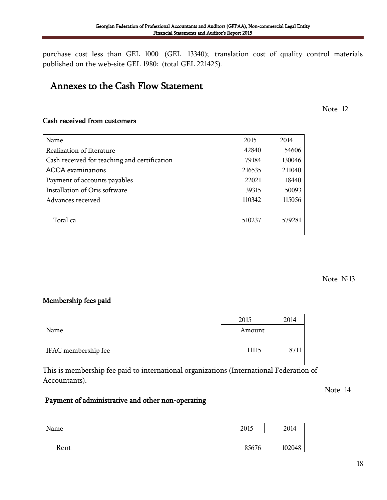18

purchase cost less than GEL 1000 (GEL 13340); translation cost of quality control materials published on the web-site GEL 1980; (total GEL 221425).

# Annexes to the Cash Flow Statement

# Cash received from customers

| Name                                         | 2015   | 2014   |
|----------------------------------------------|--------|--------|
| Realization of literature                    | 42840  | 54606  |
| Cash received for teaching and certification | 79184  | 130046 |
| <b>ACCA</b> examinations                     | 216535 | 211040 |
| Payment of accounts payables                 | 22021  | 18440  |
| Installation of Oris software                | 39315  | 50093  |
| Advances received                            | 110342 | 115056 |
| Total ca                                     | 510237 | 579281 |

#### Note  $N<sup>0</sup>13$

### Membership fees paid

|                     | 2015   | 2014 |
|---------------------|--------|------|
| Name                | Amount |      |
| IFAC membership fee | 11115  | 87   |

This is membership fee paid to international organizations (International Federation of Accountants).

### Payment of administrative and other non-operating

| Name | 2015  | 2014   |
|------|-------|--------|
|      |       |        |
| Rent | 85676 | 102048 |

# Note 12

Note 14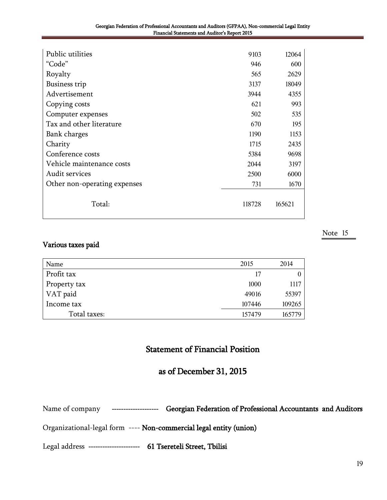| Public utilities             | 9103   | 12064  |
|------------------------------|--------|--------|
| "Code"                       | 946    | 600    |
| Royalty                      | 565    | 2629   |
| <b>Business trip</b>         | 3137   | 18049  |
| Advertisement                | 3944   | 4355   |
| Copying costs                | 621    | 993    |
| Computer expenses            | 502    | 535    |
| Tax and other literature     | 670    | 195    |
| Bank charges                 | 1190   | 1153   |
| Charity                      | 1715   | 2435   |
| Conference costs             | 5384   | 9698   |
| Vehicle maintenance costs    | 2044   | 3197   |
| Audit services               | 2500   | 6000   |
| Other non-operating expenses | 731    | 1670   |
|                              |        |        |
| Total:                       | 118728 | 165621 |
|                              |        |        |

#### Note 15

#### Various taxes paid

| Name         | 2015   | 2014   |
|--------------|--------|--------|
| Profit tax   | 17     |        |
| Property tax | 1000   | 1117   |
| VAT paid     | 49016  | 55397  |
| Income tax   | 107446 | 109265 |
| Total taxes: | 157479 | 165779 |

# Statement of Financial Position

# as of December 31, 2015

Name of company --------------------- Georgian Federation of Professional Accountants and Auditors

Organizational-legal form ---- Non-commercial legal entity (union)

Legal address ---------------------- 61 Tsereteli Street, Tbilisi